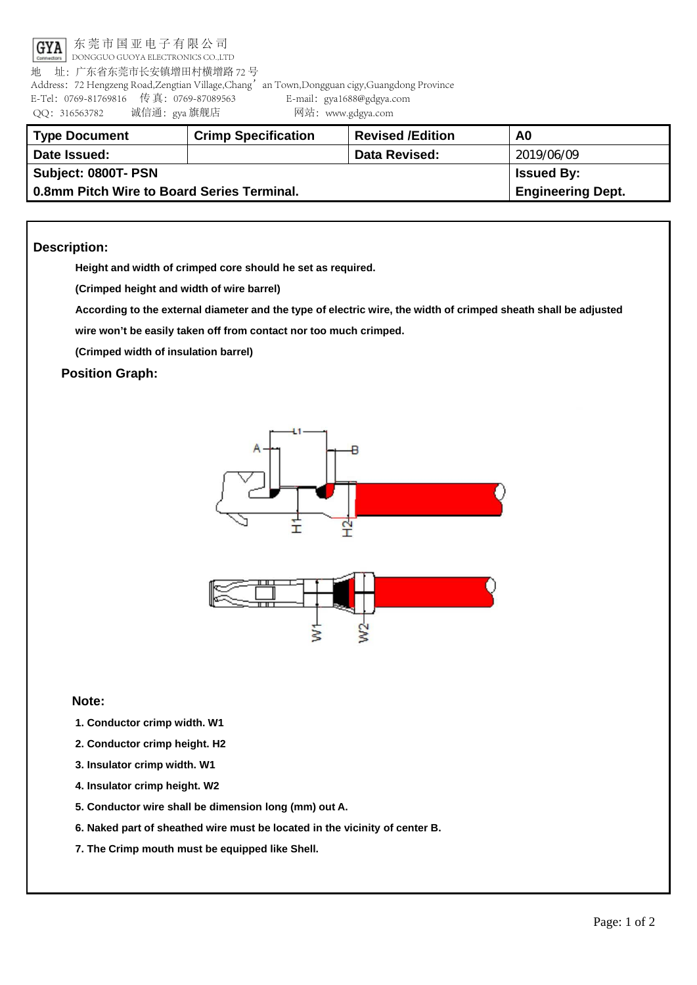

东莞市国亚电子有限公司

 DONGGUO GUOYA ELECTRONICS CO.,LTD 地 址:广东省东莞市长安镇增田村横增路 72 号

Address: 72 Hengzeng Road,Zengtian Village,Chang'an Town,Dongguan cigy,Guangdong Province E-Tel:0769-81769816 传 真:0769-87089563 E-mail:gya1688@gdgya.com QQ:316563782 诚信通:gya 旗舰店 网站:www.gdgya.com

| <b>Type Document</b>                       | <b>Crimp Specification</b> | <b>Revised /Edition</b> | A0                       |
|--------------------------------------------|----------------------------|-------------------------|--------------------------|
| Date Issued:                               |                            | <b>Data Revised:</b>    | 2019/06/09               |
| Subject: 0800T- PSN                        | <b>Issued By:</b>          |                         |                          |
| 0.8mm Pitch Wire to Board Series Terminal. |                            |                         | <b>Engineering Dept.</b> |

## **Description:**

**Height and width of crimped core should he set as required.**

**(Crimped height and width of wire barrel)**

According to the external diameter and the type of electric wire, the width of crimped sheath shall be adjusted

**wire won't be easily taken off from contact nor too much crimped.**

**(Crimped width of insulation barrel)**

**Position Graph:**





## **Note:**

- **1. Conductor crimp width. W1**
- **2. Conductor crimp height. H2**
- **3. Insulator crimp width. W1**
- **4. Insulator crimp height. W2**
- **5. Conductor wire shall be dimension long (mm) out A.**
- **6. Naked part of sheathed wire must be located in the vicinity of center B.**
- **7. The Crimp mouth must be equipped like Shell.**